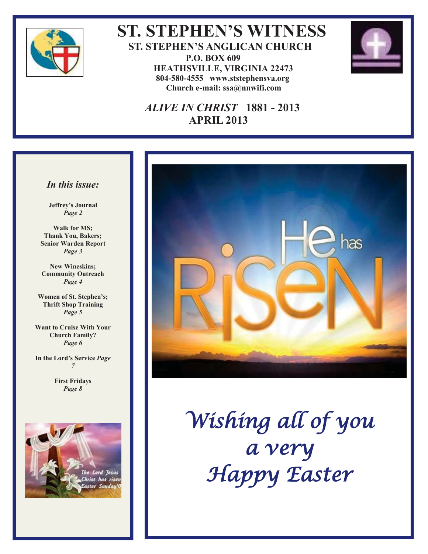

 **ST. STEPHEN'S WITNESS ST. STEPHEN'S ANGLICAN CHURCH P.O. BOX 609 HEATHSVILLE, VIRGINIA 22473 804-580-4555 www.ststephensva.org Church e-mail: ssa@nnwifi.com**



### *ALIVE IN CHRIST* **1881 - 2013 APRIL 2013**

#### *In this issue:*

**Jeffrey's Journal** *Page 2*

**Walk for MS; Thank You, Bakers; Senior Warden Report** *Page 3*

**New Wineskins; Community Outreach** *Page 4*

**Women of St. Stephen's; Thrift Shop Training**  *Page 5* 

**Want to Cruise With Your Church Family?**  *Page 6* 

**In the Lord's Service** *Page 7* 

> **First Fridays**  *Page 8*





Wishing all of you a very Happy Easter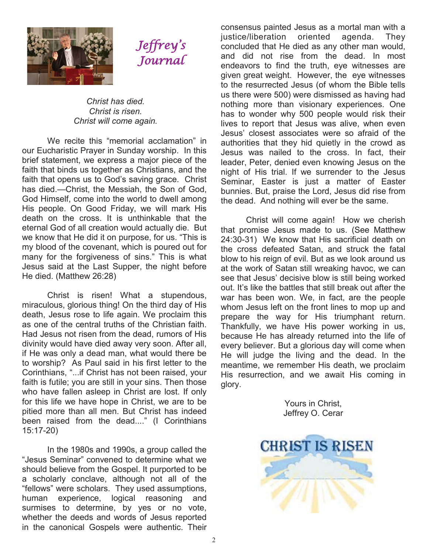

## Jeffrey ' s Journal

#### *Christ has died. Christ is risen. Christ will come again.*

We recite this "memorial acclamation" in our Eucharistic Prayer in Sunday worship. In this brief statement, we express a major piece of the faith that binds us together as Christians, and the faith that opens us to God's saving grace. Christ has died.—Christ, the Messiah, the Son of God, God Himself, come into the world to dwell among His people. On Good Friday, we will mark His death on the cross. It is unthinkable that the eternal God of all creation would actually die. But we know that He did it on purpose, for us. "This is my blood of the covenant, which is poured out for many for the forgiveness of sins." This is what Jesus said at the Last Supper, the night before He died. (Matthew 26:28)

 Christ is risen! What a stupendous, miraculous, glorious thing! On the third day of His death, Jesus rose to life again. We proclaim this as one of the central truths of the Christian faith. Had Jesus not risen from the dead, rumors of His divinity would have died away very soon. After all, if He was only a dead man, what would there be to worship? As Paul said in his first letter to the Corinthians, "...if Christ has not been raised, your faith is futile; you are still in your sins. Then those who have fallen asleep in Christ are lost. If only for this life we have hope in Christ, we are to be pitied more than all men. But Christ has indeed been raised from the dead...." (I Corinthians 15:17-20)

 In the 1980s and 1990s, a group called the "Jesus Seminar" convened to determine what we should believe from the Gospel. It purported to be a scholarly conclave, although not all of the "fellows" were scholars. They used assumptions, human experience, logical reasoning and surmises to determine, by yes or no vote, whether the deeds and words of Jesus reported in the canonical Gospels were authentic. Their

consensus painted Jesus as a mortal man with a justice/liberation oriented agenda. They concluded that He died as any other man would, and did not rise from the dead. In most endeavors to find the truth, eye witnesses are given great weight. However, the eye witnesses to the resurrected Jesus (of whom the Bible tells us there were 500) were dismissed as having had nothing more than visionary experiences. One has to wonder why 500 people would risk their lives to report that Jesus was alive, when even Jesus' closest associates were so afraid of the authorities that they hid quietly in the crowd as Jesus was nailed to the cross. In fact, their leader, Peter, denied even knowing Jesus on the night of His trial. If we surrender to the Jesus Seminar, Easter is just a matter of Easter bunnies. But, praise the Lord, Jesus did rise from the dead. And nothing will ever be the same.

 Christ will come again! How we cherish that promise Jesus made to us. (See Matthew 24:30-31) We know that His sacrificial death on the cross defeated Satan, and struck the fatal blow to his reign of evil. But as we look around us at the work of Satan still wreaking havoc, we can see that Jesus' decisive blow is still being worked out. It's like the battles that still break out after the war has been won. We, in fact, are the people whom Jesus left on the front lines to mop up and prepare the way for His triumphant return. Thankfully, we have His power working in us, because He has already returned into the life of every believer. But a glorious day will come when He will judge the living and the dead. In the meantime, we remember His death, we proclaim His resurrection, and we await His coming in glory.

> Yours in Christ, Jeffrey O. Cerar

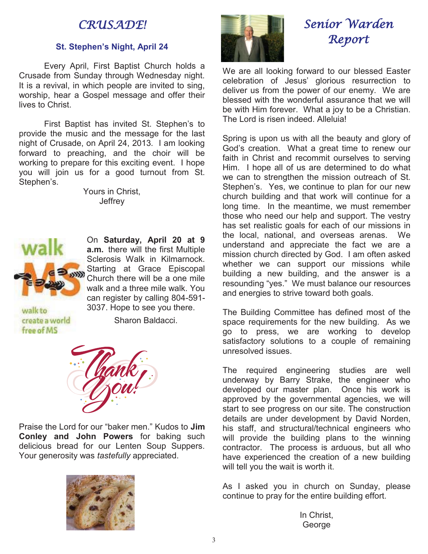### CRUSADE!

#### **St. Stephen's Night, April 24**

 Every April, First Baptist Church holds a Crusade from Sunday through Wednesday night. It is a revival, in which people are invited to sing, worship, hear a Gospel message and offer their lives to Christ.

First Baptist has invited St. Stephen's to provide the music and the message for the last night of Crusade, on April 24, 2013. I am looking forward to preaching, and the choir will be working to prepare for this exciting event. I hope you will join us for a good turnout from St. Stephen's.

> Yours in Christ, **Jeffrey**



On **Saturday, April 20 at 9 a.m.** there will the first Multiple Sclerosis Walk in Kilmarnock. Starting at Grace Episcopal Church there will be a one mile walk and a three mile walk. You can register by calling 804-591- 3037. Hope to see you there.

walkto create a world free of MS

Sharon Baldacci.



Praise the Lord for our "baker men." Kudos to **Jim Conley and John Powers** for baking such delicious bread for our Lenten Soup Suppers. Your generosity was *tastefully* appreciated.





## Senior Warden Report

We are all looking forward to our blessed Easter celebration of Jesus' glorious resurrection to deliver us from the power of our enemy. We are blessed with the wonderful assurance that we will be with Him forever. What a joy to be a Christian. The Lord is risen indeed. Alleluia!

Spring is upon us with all the beauty and glory of God's creation. What a great time to renew our faith in Christ and recommit ourselves to serving Him. I hope all of us are determined to do what we can to strengthen the mission outreach of St. Stephen's. Yes, we continue to plan for our new church building and that work will continue for a long time. In the meantime, we must remember those who need our help and support. The vestry has set realistic goals for each of our missions in the local, national, and overseas arenas. We understand and appreciate the fact we are a mission church directed by God. I am often asked whether we can support our missions while building a new building, and the answer is a resounding "yes." We must balance our resources and energies to strive toward both goals.

The Building Committee has defined most of the space requirements for the new building. As we go to press, we are working to develop satisfactory solutions to a couple of remaining unresolved issues.

The required engineering studies are well underway by Barry Strake, the engineer who developed our master plan. Once his work is approved by the governmental agencies, we will start to see progress on our site. The construction details are under development by David Norden, his staff, and structural/technical engineers who will provide the building plans to the winning contractor. The process is arduous, but all who have experienced the creation of a new building will tell you the wait is worth it.

As I asked you in church on Sunday, please continue to pray for the entire building effort.

> In Christ, George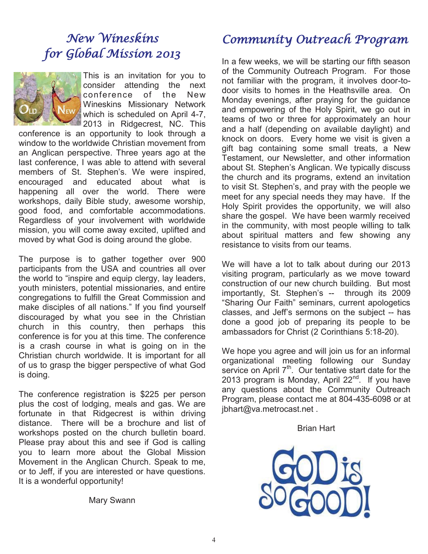## New Wineskins for Global Mission 2013



This is an invitation for you to consider attending the next conference of the New Wineskins Missionary Network which is scheduled on April 4-7. 2013 in Ridgecrest, NC. This

conference is an opportunity to look through a window to the worldwide Christian movement from an Anglican perspective. Three years ago at the last conference, I was able to attend with several members of St. Stephen's. We were inspired, encouraged and educated about what is happening all over the world. There were workshops, daily Bible study, awesome worship, good food, and comfortable accommodations. Regardless of your involvement with worldwide mission, you will come away excited, uplifted and moved by what God is doing around the globe.

The purpose is to gather together over 900 participants from the USA and countries all over the world to "inspire and equip clergy, lay leaders, youth ministers, potential missionaries, and entire congregations to fulfill the Great Commission and make disciples of all nations." If you find yourself discouraged by what you see in the Christian church in this country, then perhaps this conference is for you at this time. The conference is a crash course in what is going on in the Christian church worldwide. It is important for all of us to grasp the bigger perspective of what God is doing.

The conference registration is \$225 per person plus the cost of lodging, meals and gas. We are fortunate in that Ridgecrest is within driving distance. There will be a brochure and list of workshops posted on the church bulletin board. Please pray about this and see if God is calling you to learn more about the Global Mission Movement in the Anglican Church. Speak to me, or to Jeff, if you are interested or have questions. It is a wonderful opportunity!

Mary Swann

## Community Outreach Program

In a few weeks, we will be starting our fifth season of the Community Outreach Program. For those not familiar with the program, it involves door-todoor visits to homes in the Heathsville area. On Monday evenings, after praying for the guidance and empowering of the Holy Spirit, we go out in teams of two or three for approximately an hour and a half (depending on available daylight) and knock on doors. Every home we visit is given a gift bag containing some small treats, a New Testament, our Newsletter, and other information about St. Stephen's Anglican. We typically discuss the church and its programs, extend an invitation to visit St. Stephen's, and pray with the people we meet for any special needs they may have. If the Holy Spirit provides the opportunity, we will also share the gospel. We have been warmly received in the community, with most people willing to talk about spiritual matters and few showing any resistance to visits from our teams.

We will have a lot to talk about during our 2013 visiting program, particularly as we move toward construction of our new church building. But most importantly, St. Stephen's -- through its 2009 "Sharing Our Faith" seminars, current apologetics classes, and Jeff's sermons on the subject -- has done a good job of preparing its people to be ambassadors for Christ (2 Corinthians 5:18-20).

We hope you agree and will join us for an informal organizational meeting following our Sunday service on April  $7<sup>th</sup>$ . Our tentative start date for the 2013 program is Monday, April  $22^{nd}$ . If you have any questions about the Community Outreach Program, please contact me at 804-435-6098 or at jbhart@va.metrocast.net .

#### Brian Hart

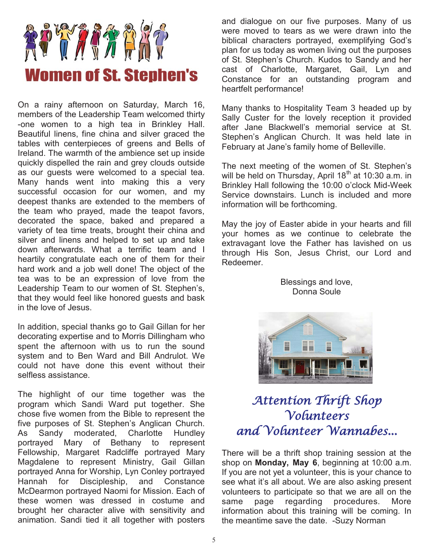

On a rainy afternoon on Saturday, March 16, members of the Leadership Team welcomed thirty -one women to a high tea in Brinkley Hall. Beautiful linens, fine china and silver graced the tables with centerpieces of greens and Bells of Ireland. The warmth of the ambience set up inside quickly dispelled the rain and grey clouds outside as our guests were welcomed to a special tea. Many hands went into making this a very successful occasion for our women, and my deepest thanks are extended to the members of the team who prayed, made the teapot favors, decorated the space, baked and prepared a variety of tea time treats, brought their china and silver and linens and helped to set up and take down afterwards. What a terrific team and I heartily congratulate each one of them for their hard work and a job well done! The object of the tea was to be an expression of love from the Leadership Team to our women of St. Stephen's, that they would feel like honored guests and bask in the love of Jesus.

In addition, special thanks go to Gail Gillan for her decorating expertise and to Morris Dillingham who spent the afternoon with us to run the sound system and to Ben Ward and Bill Andrulot. We could not have done this event without their selfless assistance.

The highlight of our time together was the program which Sandi Ward put together. She chose five women from the Bible to represent the five purposes of St. Stephen's Anglican Church. As Sandy moderated, Charlotte Hundley portrayed Mary of Bethany to represent Fellowship, Margaret Radcliffe portrayed Mary Magdalene to represent Ministry, Gail Gillan portrayed Anna for Worship, Lyn Conley portrayed Hannah for Discipleship, and Constance McDearmon portrayed Naomi for Mission. Each of these women was dressed in costume and brought her character alive with sensitivity and animation. Sandi tied it all together with posters

and dialogue on our five purposes. Many of us were moved to tears as we were drawn into the biblical characters portrayed, exemplifying God's plan for us today as women living out the purposes of St. Stephen's Church. Kudos to Sandy and her cast of Charlotte, Margaret, Gail, Lyn and Constance for an outstanding program and heartfelt performance!

Many thanks to Hospitality Team 3 headed up by Sally Custer for the lovely reception it provided after Jane Blackwell's memorial service at St. Stephen's Anglican Church. It was held late in February at Jane's family home of Belleville.

The next meeting of the women of St. Stephen's will be held on Thursday, April  $18<sup>th</sup>$  at 10:30 a.m. in Brinkley Hall following the 10:00 o'clock Mid-Week Service downstairs. Lunch is included and more information will be forthcoming.

May the joy of Easter abide in your hearts and fill your homes as we continue to celebrate the extravagant love the Father has lavished on us through His Son, Jesus Christ, our Lord and Redeemer.

> Blessings and love, Donna Soule



## Attention Thrift Shop Volunteers and Volunteer Wannabes...

There will be a thrift shop training session at the shop on **Monday, May 6**, beginning at 10:00 a.m. If you are not yet a volunteer, this is your chance to see what it's all about. We are also asking present volunteers to participate so that we are all on the same page regarding procedures. More information about this training will be coming. In the meantime save the date. -Suzy Norman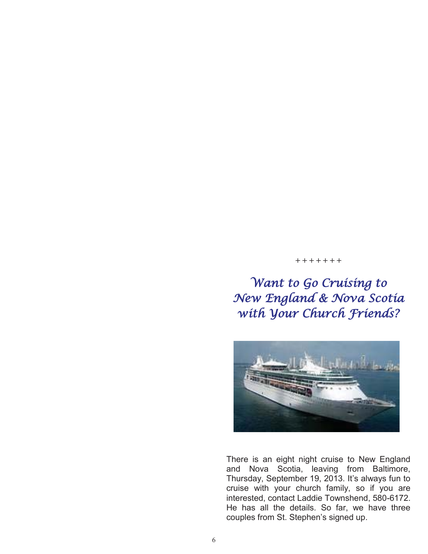#### **+ + + + + + +**

Want to Go Cruising to New England & Nova Scotia with Your Church Friends?



There is an eight night cruise to New England and Nova Scotia, leaving from Baltimore, Thursday, September 19, 2013. It's always fun to cruise with your church family, so if you are interested, contact Laddie Townshend, 580-6172. He has all the details. So far, we have three couples from St. Stephen's signed up.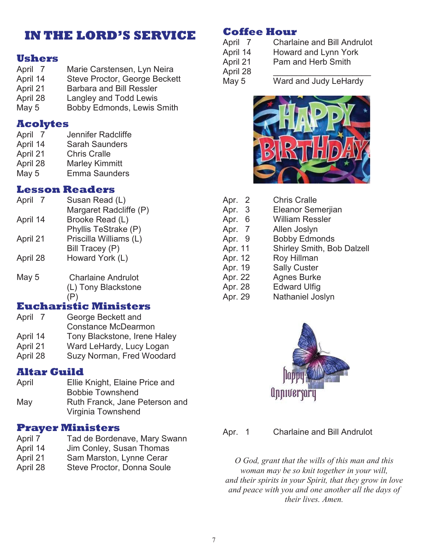### **IN THE LORD'S SERVICE**

#### **Ushers**

- April 7 Marie Carstensen, Lyn Neira April 14 Steve Proctor, George Beckett
- April 21 Barbara and Bill Ressler
- April 28 Langley and Todd Lewis
- May 5 Bobby Edmonds, Lewis Smith

#### **Acolytes**

- April 7 Jennifer Radcliffe
- April 14 Sarah Saunders
- April 21 Chris Cralle
- April 28 Marley Kimmitt May 5 Emma Saunders
- 

#### **Lesson Readers** April 7

- April 14 April 21 April 28 Susan Read (L) Margaret Radcliffe (P) Brooke Read (L) Phyllis TeStrake (P) Priscilla Williams (L) Bill Tracey (P) Howard York (L)
- May 5 Charlaine Andrulot (L) Tony Blackstone (P)

### **Eucharistic Ministers**

- April 7 George Beckett and Constance McDearmon April 14 Tony Blackstone, Irene Haley April 21 Ward LeHardy, Lucy Logan April 28 Suzy Norman, Fred Woodard
- **Altar Guild**
- April Ellie Knight, Elaine Price and Bobbie Townshend May Ruth Franck, Jane Peterson and Virginia Townshend

### **Prayer Ministers**

- April 7 Tad de Bordenave, Mary Swann
- April 14 Jim Conley, Susan Thomas
- April 21 Sam Marston, Lynne Cerar
- April 28 Steve Proctor, Donna Soule

### **Coffee Hour**

- April 7 Charlaine and Bill Andrulot
- April 14 Howard and Lynn York
- April 21 Pam and Herb Smith

April 28

May 5 Ward and Judy LeHardy



| Apr. 2  | <b>Chris Cralle</b>        |
|---------|----------------------------|
| Apr. 3  | <b>Eleanor Semerjian</b>   |
| Apr. 6  | <b>William Ressler</b>     |
| Apr. 7  | Allen Joslyn               |
| Apr. 9  | <b>Bobby Edmonds</b>       |
| Apr. 11 | Shirley Smith, Bob Dalzell |
| Apr. 12 | Roy Hillman                |
| Apr. 19 | <b>Sally Custer</b>        |
| Apr. 22 | <b>Agnes Burke</b>         |
| Apr. 28 | <b>Edward Ulfig</b>        |
| Apr. 29 | Nathaniel Joslyn           |



Apr. 1 Charlaine and Bill Andrulot

*O God, grant that the wills of this man and this woman may be so knit together in your will, and their spirits in your Spirit, that they grow in love and peace with you and one another all the days of their lives. Amen.*